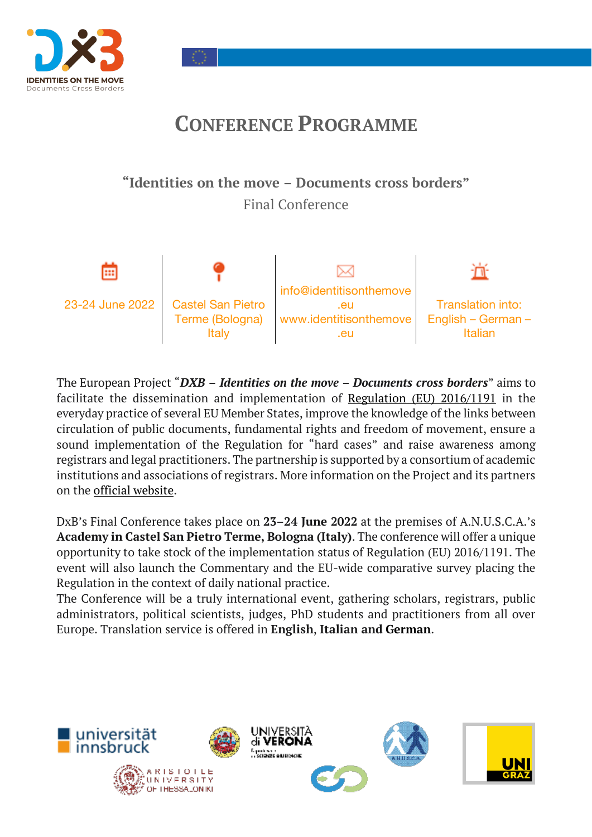

# **CONFERENCE PROGRAMME**

## **"Identities on the move – Documents cross borders"** Final Conference



The European Project "*DXB – Identities on the move – Documents cross borders*" aims to facilitate the dissemination and implementation of Regulation (EU) 2016/1191 in the everyday practice of several EU Member States, improve the knowledge of the links between circulation of public documents, fundamental rights and freedom of movement, ensure a sound implementation of the Regulation for "hard cases" and raise awareness among registrars and legal practitioners. The partnership is supported by a consortium of academic institutions and associations of registrars. More information on the Project and its partners on the official website.

DxB's Final Conference takes place on **23–24 June 2022** at the premises of A.N.U.S.C.A.'s **Academy in Castel San Pietro Terme, Bologna (Italy)**. The conference will offer a unique opportunity to take stock of the implementation status of Regulation (EU) 2016/1191. The event will also launch the Commentary and the EU-wide comparative survey placing the Regulation in the context of daily national practice.

The Conference will be a truly international event, gathering scholars, registrars, public administrators, political scientists, judges, PhD students and practitioners from all over Europe. Translation service is offered in **English**, **Italian and German**.

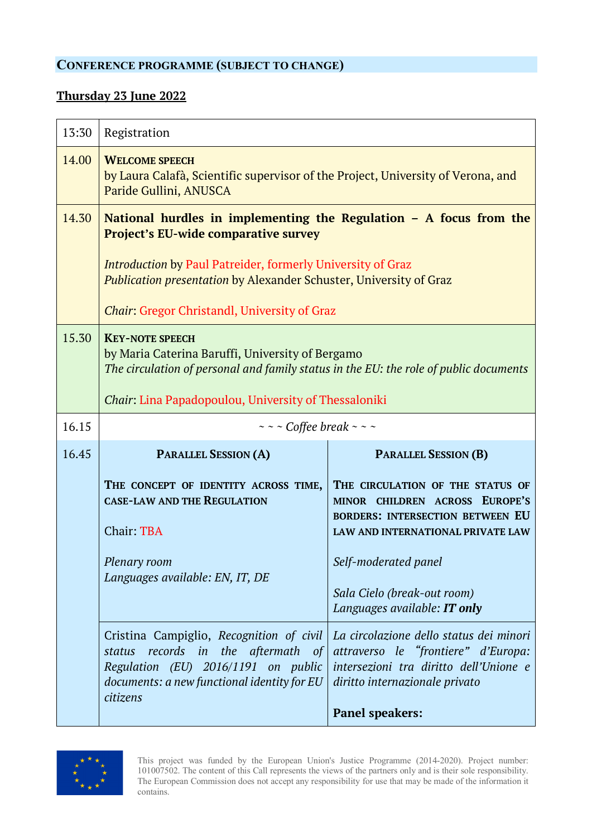## **CONFERENCE PROGRAMME (SUBJECT TO CHANGE)**

## **Thursday 23 June 2022**

| 13:30 | Registration                                                                                                                                                                                                                                                                                                                  |                                                                                                                                                                                                                                                  |
|-------|-------------------------------------------------------------------------------------------------------------------------------------------------------------------------------------------------------------------------------------------------------------------------------------------------------------------------------|--------------------------------------------------------------------------------------------------------------------------------------------------------------------------------------------------------------------------------------------------|
| 14.00 | <b>WELCOME SPEECH</b><br>by Laura Calafà, Scientific supervisor of the Project, University of Verona, and<br>Paride Gullini, ANUSCA                                                                                                                                                                                           |                                                                                                                                                                                                                                                  |
| 14.30 | National hurdles in implementing the Regulation $-$ A focus from the<br><b>Project's EU-wide comparative survey</b><br><b>Introduction by Paul Patreider, formerly University of Graz</b><br><b>Publication presentation by Alexander Schuster, University of Graz</b><br><b>Chair: Gregor Christandl, University of Graz</b> |                                                                                                                                                                                                                                                  |
| 15.30 | <b>KEY-NOTE SPEECH</b><br>by Maria Caterina Baruffi, University of Bergamo<br>The circulation of personal and family status in the EU: the role of public documents<br><i>Chair</i> : Lina Papadopoulou, University of Thessaloniki                                                                                           |                                                                                                                                                                                                                                                  |
| 16.15 | $\sim$ $\sim$ Coffee break $\sim$ $\sim$                                                                                                                                                                                                                                                                                      |                                                                                                                                                                                                                                                  |
| 16.45 | <b>PARALLEL SESSION (A)</b><br><b>PARALLEL SESSION (B)</b>                                                                                                                                                                                                                                                                    |                                                                                                                                                                                                                                                  |
|       | THE CONCEPT OF IDENTITY ACROSS TIME,<br><b>CASE-LAW AND THE REGULATION</b><br>Chair: TBA<br>Plenary room<br>Languages available: EN, IT, DE                                                                                                                                                                                   | THE CIRCULATION OF THE STATUS OF<br>MINOR CHILDREN ACROSS EUROPE'S<br><b>BORDERS: INTERSECTION BETWEEN EU</b><br>LAW AND INTERNATIONAL PRIVATE LAW<br>Self-moderated panel<br>Sala Cielo (break-out room)<br>Languages available: <b>IT only</b> |
|       | Cristina Campiglio, Recognition of civil<br>records in the aftermath of<br>status<br>Regulation (EU) 2016/1191 on public<br>documents: a new functional identity for EU<br>citizens                                                                                                                                           | La circolazione dello status dei minori<br>attraverso le "frontiere" d'Europa:<br>intersezioni tra diritto dell'Unione e<br>diritto internazionale privato<br><b>Panel speakers:</b>                                                             |

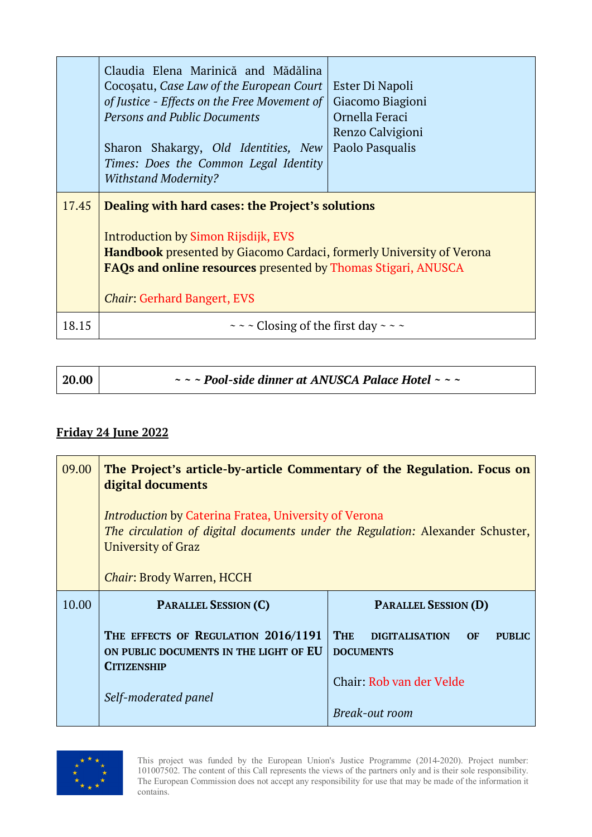|       | Claudia Elena Marinică and Mădălina<br>Cocosatu, Case Law of the European Court<br>of Justice - Effects on the Free Movement of<br><b>Persons and Public Documents</b><br>Sharon Shakargy, Old Identities, New<br>Times: Does the Common Legal Identity<br><b>Withstand Modernity?</b> | Ester Di Napoli<br>Giacomo Biagioni<br>Ornella Feraci<br>Renzo Calvigioni<br>Paolo Pasqualis |
|-------|----------------------------------------------------------------------------------------------------------------------------------------------------------------------------------------------------------------------------------------------------------------------------------------|----------------------------------------------------------------------------------------------|
| 17.45 | Dealing with hard cases: the Project's solutions<br><b>Introduction by Simon Rijsdijk, EVS</b><br>Handbook presented by Giacomo Cardaci, formerly University of Verona<br><b>FAQs and online resources presented by Thomas Stigari, ANUSCA</b><br><b>Chair: Gerhard Bangert, EVS</b>   |                                                                                              |
| 18.15 | $\sim$ ~ $\sim$ Closing of the first day ~ ~ ~                                                                                                                                                                                                                                         |                                                                                              |

| 20.00 | $\sim$ $\sim$ - Pool-side dinner at ANUSCA Palace Hotel $\sim$ $\sim$ |
|-------|-----------------------------------------------------------------------|
|       |                                                                       |

## **Friday 24 June 2022**

| 09.00 | The Project's article-by-article Commentary of the Regulation. Focus on<br>digital documents                                                                         |                                                                                       |
|-------|----------------------------------------------------------------------------------------------------------------------------------------------------------------------|---------------------------------------------------------------------------------------|
|       | <i>Introduction</i> by Caterina Fratea, University of Verona<br>The circulation of digital documents under the Regulation: Alexander Schuster,<br>University of Graz |                                                                                       |
|       | <b>Chair: Brody Warren, HCCH</b>                                                                                                                                     |                                                                                       |
|       |                                                                                                                                                                      |                                                                                       |
| 10.00 | <b>PARALLEL SESSION (C)</b>                                                                                                                                          | <b>PARALLEL SESSION (D)</b>                                                           |
|       | THE EFFECTS OF REGULATION 2016/1191<br>ON PUBLIC DOCUMENTS IN THE LIGHT OF EU<br><b>CITIZENSHIP</b>                                                                  | <b>THE</b><br><b>DIGITALISATION</b><br><b>OF</b><br><b>PURLIC</b><br><b>DOCUMENTS</b> |
|       | Self-moderated panel                                                                                                                                                 | Chair: Rob van der Velde                                                              |

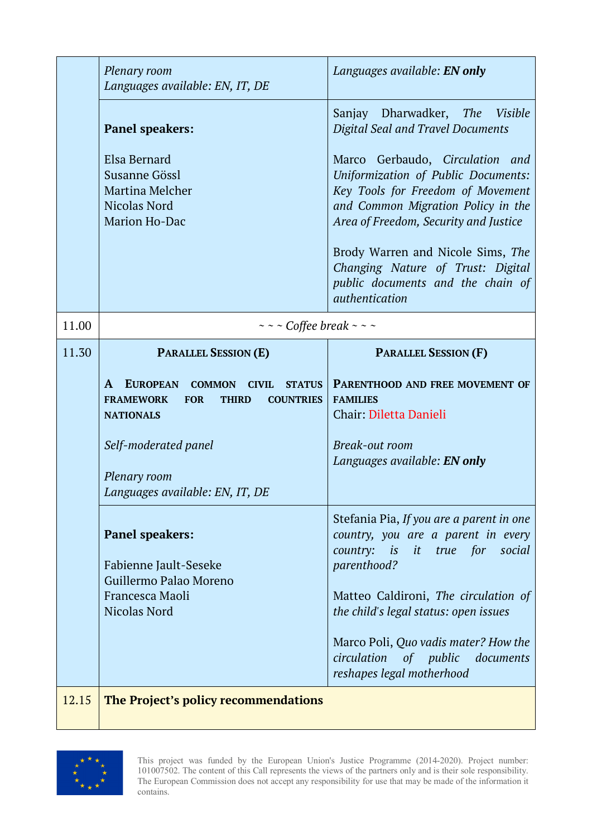|       | Plenary room<br>Languages available: EN, IT, DE                                                                                                                             | Languages available: <b>EN only</b>                                                                                                                                                        |
|-------|-----------------------------------------------------------------------------------------------------------------------------------------------------------------------------|--------------------------------------------------------------------------------------------------------------------------------------------------------------------------------------------|
|       | <b>Panel speakers:</b>                                                                                                                                                      | Sanjay Dharwadker, The Visible<br><b>Digital Seal and Travel Documents</b>                                                                                                                 |
|       | Elsa Bernard<br>Susanne Gössl<br><b>Martina Melcher</b><br>Nicolas Nord<br>Marion Ho-Dac                                                                                    | Marco Gerbaudo, Circulation and<br>Uniformization of Public Documents:<br>Key Tools for Freedom of Movement<br>and Common Migration Policy in the<br>Area of Freedom, Security and Justice |
|       |                                                                                                                                                                             | Brody Warren and Nicole Sims, The<br>Changing Nature of Trust: Digital<br>public documents and the chain of<br>authentication                                                              |
| 11.00 | $\sim$ ~ $\sim$ Coffee break ~ ~ ~                                                                                                                                          |                                                                                                                                                                                            |
| 11.30 | <b>PARALLEL SESSION (E)</b>                                                                                                                                                 | <b>PARALLEL SESSION (F)</b>                                                                                                                                                                |
|       | <b>EUROPEAN</b><br>$\mathbf{A}$<br><b>COMMON</b><br><b>CIVIL</b><br><b>STATUS</b><br><b>FRAMEWORK</b><br><b>FOR</b><br><b>COUNTRIES</b><br><b>THIRD</b><br><b>NATIONALS</b> | <b>PARENTHOOD AND FREE MOVEMENT OF</b><br><b>FAMILIES</b><br>Chair: Diletta Danieli                                                                                                        |
|       | Self-moderated panel<br>Plenary room<br>Languages available: EN, IT, DE                                                                                                     | Break-out room<br>Languages available: EN only                                                                                                                                             |
|       | <b>Panel speakers:</b><br>Fabienne Jault-Seseke<br>Guillermo Palao Moreno                                                                                                   | Stefania Pia, If you are a parent in one<br>country, you are a parent in every<br>country: is it true for<br>social<br>parenthood?                                                         |
|       | Francesca Maoli<br><b>Nicolas Nord</b>                                                                                                                                      | Matteo Caldironi, The circulation of<br>the child's legal status: open issues                                                                                                              |
|       |                                                                                                                                                                             | Marco Poli, Quo vadis mater? How the<br>circulation<br>of <i>public</i><br>documents<br>reshapes legal motherhood                                                                          |
| 12.15 | The Project's policy recommendations                                                                                                                                        |                                                                                                                                                                                            |

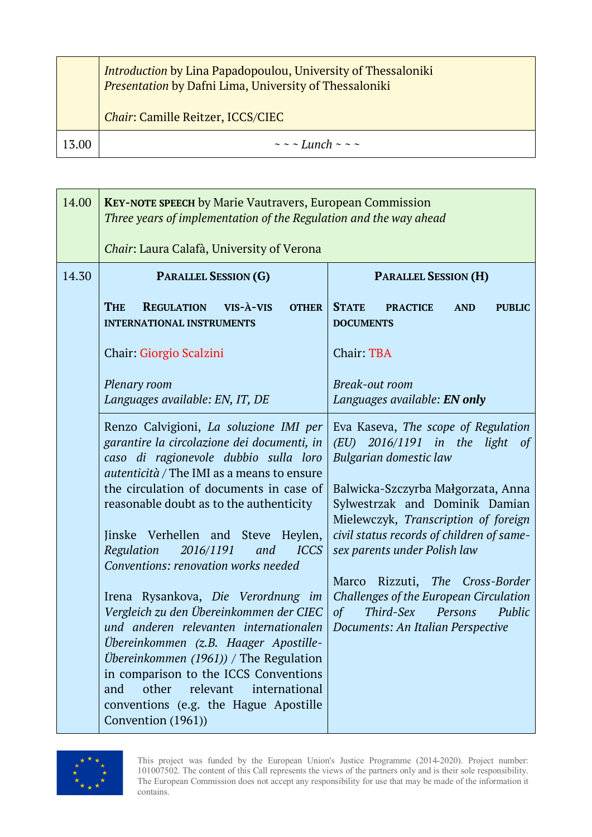|       | <b>Introduction by Lina Papadopoulou, University of Thessaloniki</b><br>Presentation by Dafni Lima, University of Thessaloniki<br><b>Chair: Camille Reitzer, ICCS/CIEC</b> |
|-------|----------------------------------------------------------------------------------------------------------------------------------------------------------------------------|
| .3.00 | $\sim$ $\sim$ Lunch $\sim$ $\sim$ $\sim$                                                                                                                                   |

| 14.00 | <b>KEY-NOTE SPEECH by Marie Vautravers, European Commission</b><br>Three years of implementation of the Regulation and the way ahead                                                                                                                                                                                                                                                                                                                                                                                                                                         |                                                                                                                                                                                                                                                                                                                                                                                                                                                                            |
|-------|------------------------------------------------------------------------------------------------------------------------------------------------------------------------------------------------------------------------------------------------------------------------------------------------------------------------------------------------------------------------------------------------------------------------------------------------------------------------------------------------------------------------------------------------------------------------------|----------------------------------------------------------------------------------------------------------------------------------------------------------------------------------------------------------------------------------------------------------------------------------------------------------------------------------------------------------------------------------------------------------------------------------------------------------------------------|
|       | Chair: Laura Calafà, University of Verona                                                                                                                                                                                                                                                                                                                                                                                                                                                                                                                                    |                                                                                                                                                                                                                                                                                                                                                                                                                                                                            |
| 14.30 | <b>PARALLEL SESSION (G)</b>                                                                                                                                                                                                                                                                                                                                                                                                                                                                                                                                                  | <b>PARALLEL SESSION (H)</b>                                                                                                                                                                                                                                                                                                                                                                                                                                                |
|       | <b>THE</b><br><b>REGULATION</b><br>$VIS - \lambda - VIS$<br><b>OTHER</b><br><b>INTERNATIONAL INSTRUMENTS</b>                                                                                                                                                                                                                                                                                                                                                                                                                                                                 | <b>STATE</b><br><b>PRACTICE</b><br><b>AND</b><br><b>PUBLIC</b><br><b>DOCUMENTS</b>                                                                                                                                                                                                                                                                                                                                                                                         |
|       | Chair: Giorgio Scalzini                                                                                                                                                                                                                                                                                                                                                                                                                                                                                                                                                      | Chair: TBA                                                                                                                                                                                                                                                                                                                                                                                                                                                                 |
|       | Plenary room<br>Languages available: EN, IT, DE                                                                                                                                                                                                                                                                                                                                                                                                                                                                                                                              | Break-out room<br>Languages available: <b>EN only</b>                                                                                                                                                                                                                                                                                                                                                                                                                      |
|       | Renzo Calvigioni, La soluzione IMI per<br>garantire la circolazione dei documenti, in<br>caso di ragionevole dubbio sulla loro<br><i>autenticità</i> / The IMI as a means to ensure<br>the circulation of documents in case of<br>reasonable doubt as to the authenticity<br>Jinske Verhellen and Steve Heylen,<br>Regulation<br>2016/1191<br><b>ICCS</b><br>and<br>Conventions: renovation works needed<br>Irena Rysankova, Die Verordnung im<br>Vergleich zu den Übereinkommen der CIEC<br>und anderen relevanten internationalen<br>Übereinkommen (z.B. Haager Apostille- | Eva Kaseva, The scope of Regulation<br>2016/1191 in the<br>light<br>(EU)<br><sub>of</sub><br>Bulgarian domestic law<br>Balwicka-Szczyrba Małgorzata, Anna<br>Sylwestrzak and Dominik Damian<br>Mielewczyk, Transcription of foreign<br>civil status records of children of same-<br>sex parents under Polish law<br>Marco Rizzuti, The Cross-Border<br>Challenges of the European Circulation<br>of<br>Third-Sex<br>Persons<br>Public<br>Documents: An Italian Perspective |
|       | Übereinkommen $(1961)$ ) / The Regulation<br>in comparison to the ICCS Conventions<br>other<br>relevant<br>international<br>and<br>conventions (e.g. the Hague Apostille<br>Convention (1961))                                                                                                                                                                                                                                                                                                                                                                               |                                                                                                                                                                                                                                                                                                                                                                                                                                                                            |

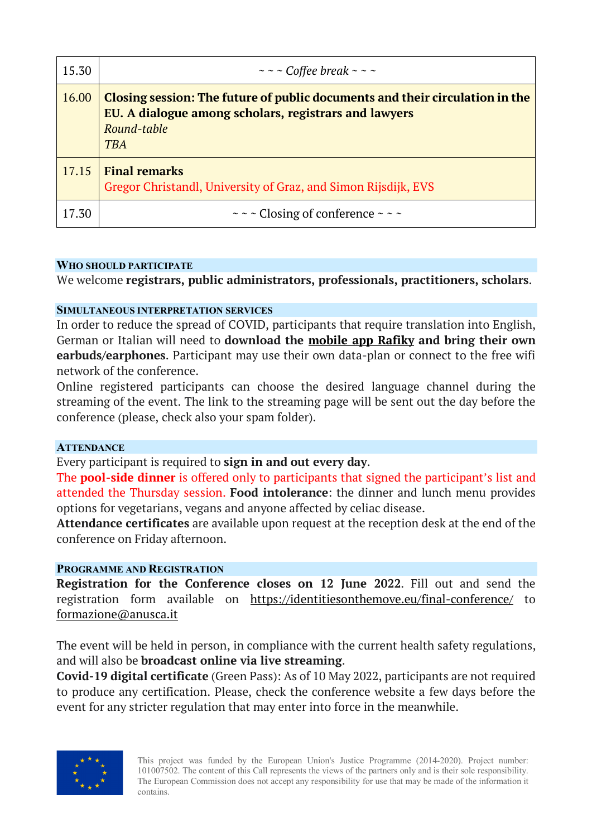| 15.30 | $\sim$ ~ $\sim$ Coffee break ~ ~ ~                                                                                                                                 |
|-------|--------------------------------------------------------------------------------------------------------------------------------------------------------------------|
| 16.00 | Closing session: The future of public documents and their circulation in the<br>EU. A dialogue among scholars, registrars and lawyers<br>Round-table<br><b>TBA</b> |
| 17.15 | <b>Final remarks</b><br>Gregor Christandl, University of Graz, and Simon Rijsdijk, EVS                                                                             |
| 17.30 | $\sim$ ~ $\sim$ Closing of conference ~ ~ ~                                                                                                                        |

#### **WHO SHOULD PARTICIPATE**

We welcome **registrars, public administrators, professionals, practitioners, scholars**.

#### **SIMULTANEOUS INTERPRETATION SERVICES**

In order to reduce the spread of COVID, participants that require translation into English, German or Italian will need to **download the mobile app Rafiky and bring their own earbuds/earphones**. Participant may use their own data-plan or connect to the free wifi network of the conference.

Online registered participants can choose the desired language channel during the streaming of the event. The link to the streaming page will be sent out the day before the conference (please, check also your spam folder).

#### **ATTENDANCE**

Every participant is required to **sign in and out every day**.

The **pool-side dinner** is offered only to participants that signed the participant's list and attended the Thursday session. **Food intolerance**: the dinner and lunch menu provides options for vegetarians, vegans and anyone affected by celiac disease.

**Attendance certificates** are available upon request at the reception desk at the end of the conference on Friday afternoon.

#### **PROGRAMME AND REGISTRATION**

**Registration for the Conference closes on 12 June 2022**. Fill out and send the registration form available on https://identitiesonthemove.eu/final-conference/ to formazione@anusca.it

The event will be held in person, in compliance with the current health safety regulations, and will also be **broadcast online via live streaming**.

**Covid-19 digital certificate** (Green Pass): As of 10 May 2022, participants are not required to produce any certification. Please, check the conference website a few days before the event for any stricter regulation that may enter into force in the meanwhile.